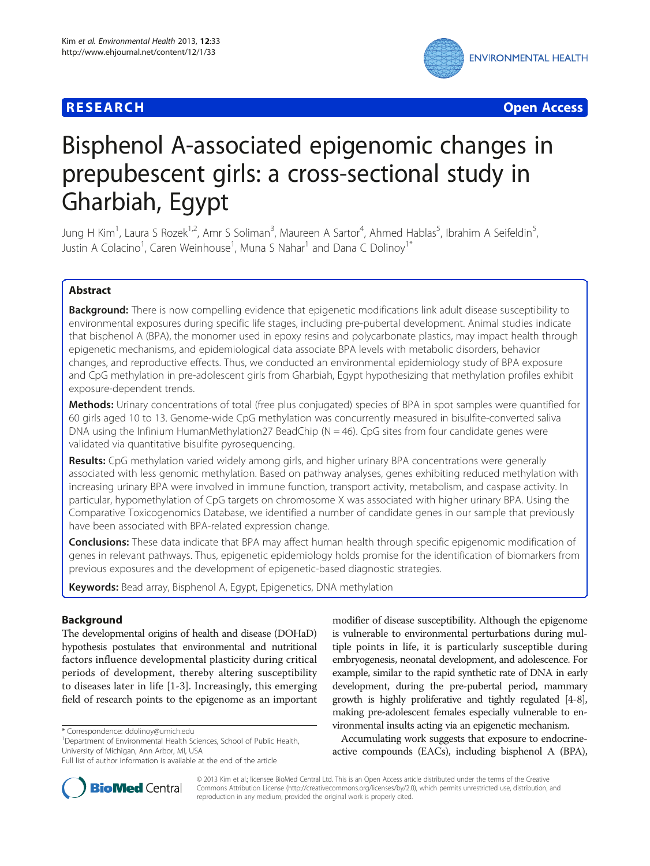# **RESEARCH CHEAR CHEAR CHEAR CHEAR CHEAR CHEAR CHEAR CHEAR CHEAR CHEAR CHEAR CHEAR CHEAR CHEAR CHEAR CHEAR CHEAR**



# Bisphenol A-associated epigenomic changes in prepubescent girls: a cross-sectional study in Gharbiah, Egypt

Jung H Kim<sup>1</sup>, Laura S Rozek<sup>1,2</sup>, Amr S Soliman<sup>3</sup>, Maureen A Sartor<sup>4</sup>, Ahmed Hablas<sup>5</sup>, Ibrahim A Seifeldin<sup>5</sup> , Justin A Colacino<sup>1</sup>, Caren Weinhouse<sup>1</sup>, Muna S Nahar<sup>1</sup> and Dana C Dolinoy<sup>1\*</sup>

# Abstract

Background: There is now compelling evidence that epigenetic modifications link adult disease susceptibility to environmental exposures during specific life stages, including pre-pubertal development. Animal studies indicate that bisphenol A (BPA), the monomer used in epoxy resins and polycarbonate plastics, may impact health through epigenetic mechanisms, and epidemiological data associate BPA levels with metabolic disorders, behavior changes, and reproductive effects. Thus, we conducted an environmental epidemiology study of BPA exposure and CpG methylation in pre-adolescent girls from Gharbiah, Egypt hypothesizing that methylation profiles exhibit exposure-dependent trends.

Methods: Urinary concentrations of total (free plus conjugated) species of BPA in spot samples were quantified for 60 girls aged 10 to 13. Genome-wide CpG methylation was concurrently measured in bisulfite-converted saliva DNA using the Infinium HumanMethylation27 BeadChip ( $N = 46$ ). CpG sites from four candidate genes were validated via quantitative bisulfite pyrosequencing.

Results: CpG methylation varied widely among girls, and higher urinary BPA concentrations were generally associated with less genomic methylation. Based on pathway analyses, genes exhibiting reduced methylation with increasing urinary BPA were involved in immune function, transport activity, metabolism, and caspase activity. In particular, hypomethylation of CpG targets on chromosome X was associated with higher urinary BPA. Using the Comparative Toxicogenomics Database, we identified a number of candidate genes in our sample that previously have been associated with BPA-related expression change.

**Conclusions:** These data indicate that BPA may affect human health through specific epigenomic modification of genes in relevant pathways. Thus, epigenetic epidemiology holds promise for the identification of biomarkers from previous exposures and the development of epigenetic-based diagnostic strategies.

Keywords: Bead array, Bisphenol A, Egypt, Epigenetics, DNA methylation

# Background

The developmental origins of health and disease (DOHaD) hypothesis postulates that environmental and nutritional factors influence developmental plasticity during critical periods of development, thereby altering susceptibility to diseases later in life [[1](#page-12-0)-[3\]](#page-12-0). Increasingly, this emerging field of research points to the epigenome as an important

modifier of disease susceptibility. Although the epigenome is vulnerable to environmental perturbations during multiple points in life, it is particularly susceptible during embryogenesis, neonatal development, and adolescence. For example, similar to the rapid synthetic rate of DNA in early development, during the pre-pubertal period, mammary growth is highly proliferative and tightly regulated [[4](#page-12-0)-[8](#page-12-0)], making pre-adolescent females especially vulnerable to environmental insults acting via an epigenetic mechanism.

Accumulating work suggests that exposure to endocrineactive compounds (EACs), including bisphenol A (BPA),



© 2013 Kim et al.; licensee BioMed Central Ltd. This is an Open Access article distributed under the terms of the Creative Commons Attribution License [\(http://creativecommons.org/licenses/by/2.0\)](http://creativecommons.org/licenses/by/2.0), which permits unrestricted use, distribution, and reproduction in any medium, provided the original work is properly cited.

<sup>\*</sup> Correspondence: [ddolinoy@umich.edu](mailto:ddolinoy@umich.edu) <sup>1</sup>

<sup>&</sup>lt;sup>1</sup>Department of Environmental Health Sciences, School of Public Health, University of Michigan, Ann Arbor, MI, USA

Full list of author information is available at the end of the article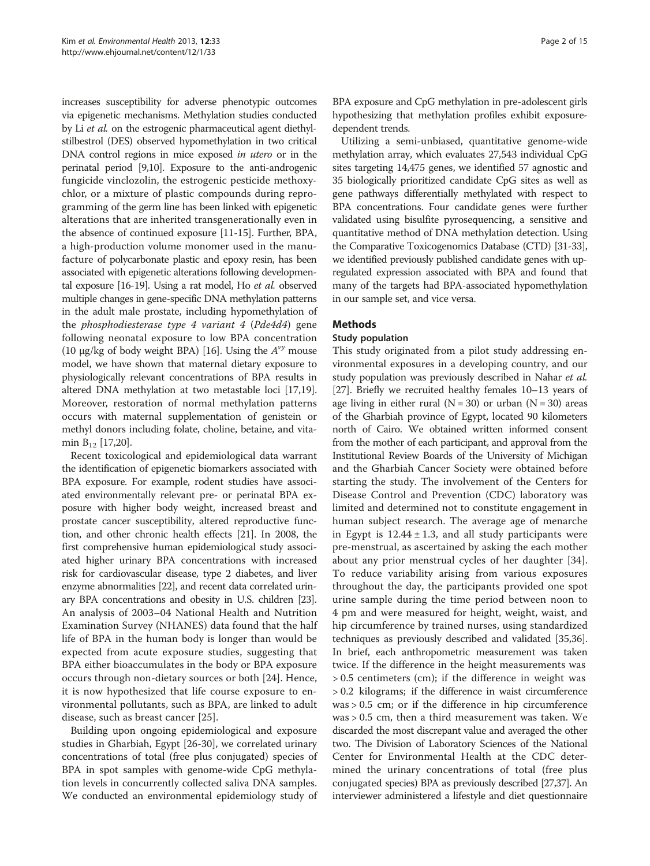<span id="page-1-0"></span>increases susceptibility for adverse phenotypic outcomes via epigenetic mechanisms. Methylation studies conducted by Li et al. on the estrogenic pharmaceutical agent diethylstilbestrol (DES) observed hypomethylation in two critical DNA control regions in mice exposed *in utero* or in the perinatal period [[9,10\]](#page-12-0). Exposure to the anti-androgenic fungicide vinclozolin, the estrogenic pesticide methoxychlor, or a mixture of plastic compounds during reprogramming of the germ line has been linked with epigenetic alterations that are inherited transgenerationally even in the absence of continued exposure [[11](#page-12-0)-[15](#page-13-0)]. Further, BPA, a high-production volume monomer used in the manufacture of polycarbonate plastic and epoxy resin, has been associated with epigenetic alterations following developmental exposure [\[16-19](#page-13-0)]. Using a rat model, Ho et al. observed multiple changes in gene-specific DNA methylation patterns in the adult male prostate, including hypomethylation of the *phosphodiesterase type 4 variant 4 (Pde4d4)* gene following neonatal exposure to low BPA concentration (10 μg/kg of body weight BPA) [[16](#page-13-0)]. Using the  $A^{\nu y}$  mouse model, we have shown that maternal dietary exposure to physiologically relevant concentrations of BPA results in altered DNA methylation at two metastable loci [\[17,19](#page-13-0)]. Moreover, restoration of normal methylation patterns occurs with maternal supplementation of genistein or methyl donors including folate, choline, betaine, and vitamin  $B_{12}$  [\[17,20\]](#page-13-0).

Recent toxicological and epidemiological data warrant the identification of epigenetic biomarkers associated with BPA exposure. For example, rodent studies have associated environmentally relevant pre- or perinatal BPA exposure with higher body weight, increased breast and prostate cancer susceptibility, altered reproductive function, and other chronic health effects [\[21\]](#page-13-0). In 2008, the first comprehensive human epidemiological study associated higher urinary BPA concentrations with increased risk for cardiovascular disease, type 2 diabetes, and liver enzyme abnormalities [\[22\]](#page-13-0), and recent data correlated urinary BPA concentrations and obesity in U.S. children [\[23](#page-13-0)]. An analysis of 2003–04 National Health and Nutrition Examination Survey (NHANES) data found that the half life of BPA in the human body is longer than would be expected from acute exposure studies, suggesting that BPA either bioaccumulates in the body or BPA exposure occurs through non-dietary sources or both [[24\]](#page-13-0). Hence, it is now hypothesized that life course exposure to environmental pollutants, such as BPA, are linked to adult disease, such as breast cancer [[25\]](#page-13-0).

Building upon ongoing epidemiological and exposure studies in Gharbiah, Egypt [\[26-30](#page-13-0)], we correlated urinary concentrations of total (free plus conjugated) species of BPA in spot samples with genome-wide CpG methylation levels in concurrently collected saliva DNA samples. We conducted an environmental epidemiology study of

BPA exposure and CpG methylation in pre-adolescent girls hypothesizing that methylation profiles exhibit exposuredependent trends.

Utilizing a semi-unbiased, quantitative genome-wide methylation array, which evaluates 27,543 individual CpG sites targeting 14,475 genes, we identified 57 agnostic and 35 biologically prioritized candidate CpG sites as well as gene pathways differentially methylated with respect to BPA concentrations. Four candidate genes were further validated using bisulfite pyrosequencing, a sensitive and quantitative method of DNA methylation detection. Using the Comparative Toxicogenomics Database (CTD) [\[31-33](#page-13-0)], we identified previously published candidate genes with upregulated expression associated with BPA and found that many of the targets had BPA-associated hypomethylation in our sample set, and vice versa.

# **Methods**

# Study population

This study originated from a pilot study addressing environmental exposures in a developing country, and our study population was previously described in Nahar *et al.* [[27](#page-13-0)]. Briefly we recruited healthy females 10–13 years of age living in either rural  $(N = 30)$  or urban  $(N = 30)$  areas of the Gharbiah province of Egypt, located 90 kilometers north of Cairo. We obtained written informed consent from the mother of each participant, and approval from the Institutional Review Boards of the University of Michigan and the Gharbiah Cancer Society were obtained before starting the study. The involvement of the Centers for Disease Control and Prevention (CDC) laboratory was limited and determined not to constitute engagement in human subject research. The average age of menarche in Egypt is  $12.44 \pm 1.3$ , and all study participants were pre-menstrual, as ascertained by asking the each mother about any prior menstrual cycles of her daughter [\[34](#page-13-0)]. To reduce variability arising from various exposures throughout the day, the participants provided one spot urine sample during the time period between noon to 4 pm and were measured for height, weight, waist, and hip circumference by trained nurses, using standardized techniques as previously described and validated [\[35,36](#page-13-0)]. In brief, each anthropometric measurement was taken twice. If the difference in the height measurements was > 0.5 centimeters (cm); if the difference in weight was > 0.2 kilograms; if the difference in waist circumference was > 0.5 cm; or if the difference in hip circumference was > 0.5 cm, then a third measurement was taken. We discarded the most discrepant value and averaged the other two. The Division of Laboratory Sciences of the National Center for Environmental Health at the CDC determined the urinary concentrations of total (free plus conjugated species) BPA as previously described [[27,37](#page-13-0)]. An interviewer administered a lifestyle and diet questionnaire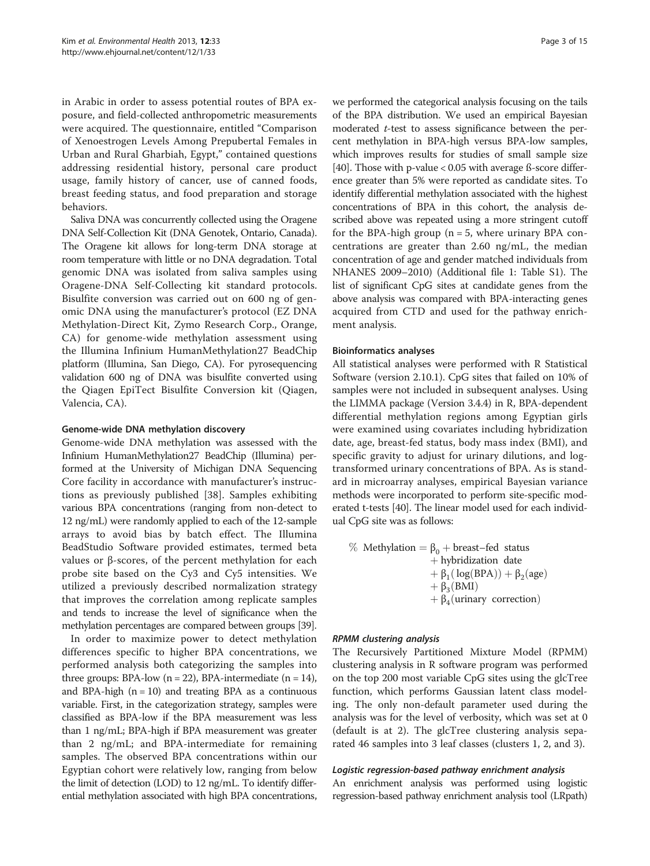in Arabic in order to assess potential routes of BPA exposure, and field-collected anthropometric measurements were acquired. The questionnaire, entitled "Comparison of Xenoestrogen Levels Among Prepubertal Females in Urban and Rural Gharbiah, Egypt," contained questions addressing residential history, personal care product usage, family history of cancer, use of canned foods, breast feeding status, and food preparation and storage behaviors.

Saliva DNA was concurrently collected using the Oragene DNA Self-Collection Kit (DNA Genotek, Ontario, Canada). The Oragene kit allows for long-term DNA storage at room temperature with little or no DNA degradation. Total genomic DNA was isolated from saliva samples using Oragene-DNA Self-Collecting kit standard protocols. Bisulfite conversion was carried out on 600 ng of genomic DNA using the manufacturer's protocol (EZ DNA Methylation-Direct Kit, Zymo Research Corp., Orange, CA) for genome-wide methylation assessment using the Illumina Infinium HumanMethylation27 BeadChip platform (Illumina, San Diego, CA). For pyrosequencing validation 600 ng of DNA was bisulfite converted using the Qiagen EpiTect Bisulfite Conversion kit (Qiagen, Valencia, CA).

# Genome-wide DNA methylation discovery

Genome-wide DNA methylation was assessed with the Infinium HumanMethylation27 BeadChip (Illumina) performed at the University of Michigan DNA Sequencing Core facility in accordance with manufacturer's instructions as previously published [\[38](#page-13-0)]. Samples exhibiting various BPA concentrations (ranging from non-detect to 12 ng/mL) were randomly applied to each of the 12-sample arrays to avoid bias by batch effect. The Illumina BeadStudio Software provided estimates, termed beta values or β-scores, of the percent methylation for each probe site based on the Cy3 and Cy5 intensities. We utilized a previously described normalization strategy that improves the correlation among replicate samples and tends to increase the level of significance when the methylation percentages are compared between groups [\[39](#page-13-0)].

In order to maximize power to detect methylation differences specific to higher BPA concentrations, we performed analysis both categorizing the samples into three groups: BPA-low ( $n = 22$ ), BPA-intermediate ( $n = 14$ ), and BPA-high  $(n = 10)$  and treating BPA as a continuous variable. First, in the categorization strategy, samples were classified as BPA-low if the BPA measurement was less than 1 ng/mL; BPA-high if BPA measurement was greater than 2 ng/mL; and BPA-intermediate for remaining samples. The observed BPA concentrations within our Egyptian cohort were relatively low, ranging from below the limit of detection (LOD) to 12 ng/mL. To identify differential methylation associated with high BPA concentrations,

we performed the categorical analysis focusing on the tails of the BPA distribution. We used an empirical Bayesian moderated t-test to assess significance between the percent methylation in BPA-high versus BPA-low samples, which improves results for studies of small sample size [[40](#page-13-0)]. Those with p-value < 0.05 with average ß-score difference greater than 5% were reported as candidate sites. To identify differential methylation associated with the highest concentrations of BPA in this cohort, the analysis described above was repeated using a more stringent cutoff for the BPA-high group  $(n = 5)$ , where urinary BPA concentrations are greater than 2.60 ng/mL, the median concentration of age and gender matched individuals from NHANES 2009–2010) (Additional file [1](#page-12-0): Table S1). The list of significant CpG sites at candidate genes from the above analysis was compared with BPA-interacting genes acquired from CTD and used for the pathway enrichment analysis.

# Bioinformatics analyses

All statistical analyses were performed with R Statistical Software (version 2.10.1). CpG sites that failed on 10% of samples were not included in subsequent analyses. Using the LIMMA package (Version 3.4.4) in R, BPA-dependent differential methylation regions among Egyptian girls were examined using covariates including hybridization date, age, breast-fed status, body mass index (BMI), and specific gravity to adjust for urinary dilutions, and logtransformed urinary concentrations of BPA. As is standard in microarray analyses, empirical Bayesian variance methods were incorporated to perform site-specific moderated t-tests [\[40\]](#page-13-0). The linear model used for each individual CpG site was as follows:

% Methylation =  $\beta_0$  + breast–fed status  $+$  hybridization date  $+ \beta_1(\log(BPA)) + \beta_2(\text{age})$  $+ \beta_3(BMI)$  $+\beta_4$ (urinary correction)

# RPMM clustering analysis

The Recursively Partitioned Mixture Model (RPMM) clustering analysis in R software program was performed on the top 200 most variable CpG sites using the glcTree function, which performs Gaussian latent class modeling. The only non-default parameter used during the analysis was for the level of verbosity, which was set at 0 (default is at 2). The glcTree clustering analysis separated 46 samples into 3 leaf classes (clusters 1, 2, and 3).

# Logistic regression-based pathway enrichment analysis

An enrichment analysis was performed using logistic regression-based pathway enrichment analysis tool (LRpath)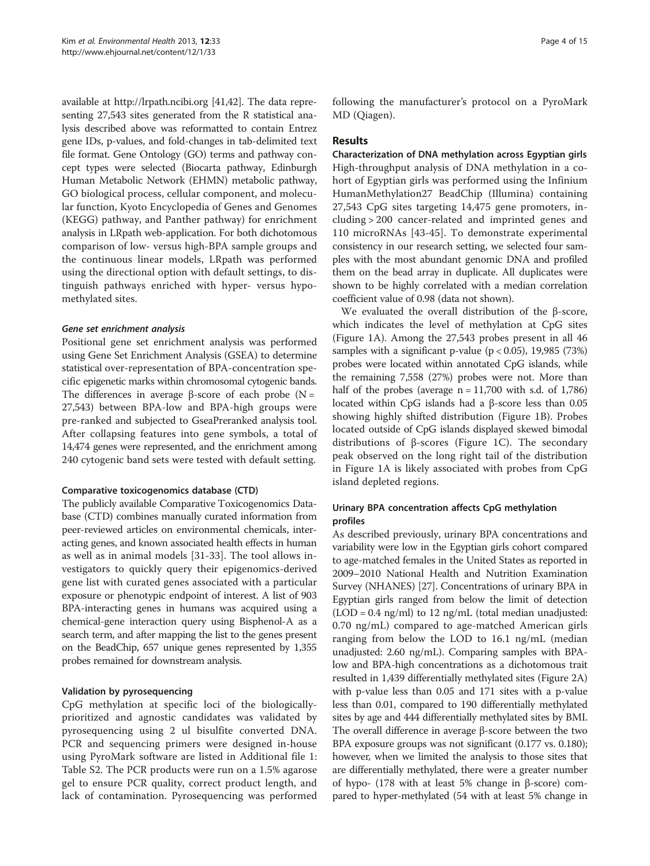available at<http://lrpath.ncibi.org> [\[41,42](#page-13-0)]. The data representing 27,543 sites generated from the R statistical analysis described above was reformatted to contain Entrez gene IDs, p-values, and fold-changes in tab-delimited text file format. Gene Ontology (GO) terms and pathway concept types were selected (Biocarta pathway, Edinburgh Human Metabolic Network (EHMN) metabolic pathway, GO biological process, cellular component, and molecular function, Kyoto Encyclopedia of Genes and Genomes (KEGG) pathway, and Panther pathway) for enrichment analysis in LRpath web-application. For both dichotomous comparison of low- versus high-BPA sample groups and the continuous linear models, LRpath was performed using the directional option with default settings, to distinguish pathways enriched with hyper- versus hypomethylated sites.

# Gene set enrichment analysis

Positional gene set enrichment analysis was performed using Gene Set Enrichment Analysis (GSEA) to determine statistical over-representation of BPA-concentration specific epigenetic marks within chromosomal cytogenic bands. The differences in average β-score of each probe  $(N =$ 27,543) between BPA-low and BPA-high groups were pre-ranked and subjected to GseaPreranked analysis tool. After collapsing features into gene symbols, a total of 14,474 genes were represented, and the enrichment among 240 cytogenic band sets were tested with default setting.

# Comparative toxicogenomics database (CTD)

The publicly available Comparative Toxicogenomics Database (CTD) combines manually curated information from peer-reviewed articles on environmental chemicals, interacting genes, and known associated health effects in human as well as in animal models [\[31](#page-13-0)-[33\]](#page-13-0). The tool allows investigators to quickly query their epigenomics-derived gene list with curated genes associated with a particular exposure or phenotypic endpoint of interest. A list of 903 BPA-interacting genes in humans was acquired using a chemical-gene interaction query using Bisphenol-A as a search term, and after mapping the list to the genes present on the BeadChip, 657 unique genes represented by 1,355 probes remained for downstream analysis.

# Validation by pyrosequencing

CpG methylation at specific loci of the biologicallyprioritized and agnostic candidates was validated by pyrosequencing using 2 ul bisulfite converted DNA. PCR and sequencing primers were designed in-house using PyroMark software are listed in Additional file [1](#page-12-0): Table S2. The PCR products were run on a 1.5% agarose gel to ensure PCR quality, correct product length, and lack of contamination. Pyrosequencing was performed

following the manufacturer's protocol on a PyroMark MD (Qiagen).

# Results

Characterization of DNA methylation across Egyptian girls High-throughput analysis of DNA methylation in a cohort of Egyptian girls was performed using the Infinium HumanMethylation27 BeadChip (Illumina) containing 27,543 CpG sites targeting 14,475 gene promoters, including > 200 cancer-related and imprinted genes and 110 microRNAs [[43-45](#page-13-0)]. To demonstrate experimental consistency in our research setting, we selected four samples with the most abundant genomic DNA and profiled them on the bead array in duplicate. All duplicates were shown to be highly correlated with a median correlation coefficient value of 0.98 (data not shown).

We evaluated the overall distribution of the β-score, which indicates the level of methylation at CpG sites (Figure [1](#page-4-0)A). Among the 27,543 probes present in all 46 samples with a significant p-value ( $p < 0.05$ ), 19,985 (73%) probes were located within annotated CpG islands, while the remaining 7,558 (27%) probes were not. More than half of the probes (average  $n = 11,700$  with s.d. of 1,786) located within CpG islands had a β-score less than 0.05 showing highly shifted distribution (Figure [1](#page-4-0)B). Probes located outside of CpG islands displayed skewed bimodal distributions of β-scores (Figure [1C](#page-4-0)). The secondary peak observed on the long right tail of the distribution in Figure [1](#page-4-0)A is likely associated with probes from CpG island depleted regions.

# Urinary BPA concentration affects CpG methylation profiles

As described previously, urinary BPA concentrations and variability were low in the Egyptian girls cohort compared to age-matched females in the United States as reported in 2009–2010 National Health and Nutrition Examination Survey (NHANES) [\[27](#page-13-0)]. Concentrations of urinary BPA in Egyptian girls ranged from below the limit of detection  $(LOD = 0.4$  ng/ml) to 12 ng/mL (total median unadjusted: 0.70 ng/mL) compared to age-matched American girls ranging from below the LOD to 16.1 ng/mL (median unadjusted: 2.60 ng/mL). Comparing samples with BPAlow and BPA-high concentrations as a dichotomous trait resulted in 1,439 differentially methylated sites (Figure [2A](#page-4-0)) with p-value less than 0.05 and 171 sites with a p-value less than 0.01, compared to 190 differentially methylated sites by age and 444 differentially methylated sites by BMI. The overall difference in average β-score between the two BPA exposure groups was not significant (0.177 vs. 0.180); however, when we limited the analysis to those sites that are differentially methylated, there were a greater number of hypo- (178 with at least 5% change in β-score) compared to hyper-methylated (54 with at least 5% change in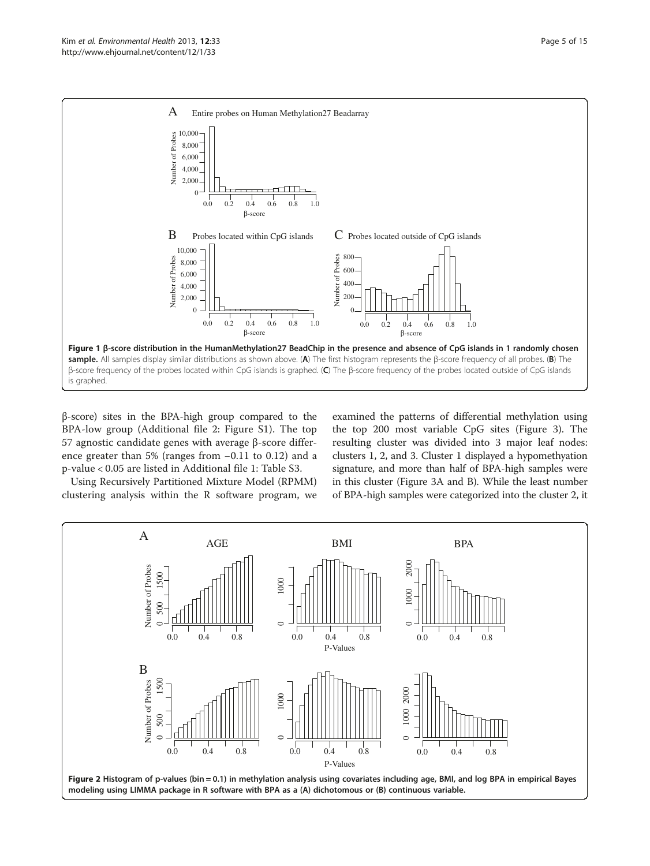<span id="page-4-0"></span>

β-score) sites in the BPA-high group compared to the BPA-low group (Additional file [2:](#page-12-0) Figure S1). The top 57 agnostic candidate genes with average β-score difference greater than 5% (ranges from −0.11 to 0.12) and a p-value < 0.05 are listed in Additional file [1:](#page-12-0) Table S3.

examined the patterns of differential methylation using the top 200 most variable CpG sites (Figure [3\)](#page-5-0). The resulting cluster was divided into 3 major leaf nodes: clusters 1, 2, and 3. Cluster 1 displayed a hypomethyation signature, and more than half of BPA-high samples were in this cluster (Figure [3A](#page-5-0) and B). While the least number of BPA-high samples were categorized into the cluster 2, it

Using Recursively Partitioned Mixture Model (RPMM) clustering analysis within the R software program, we

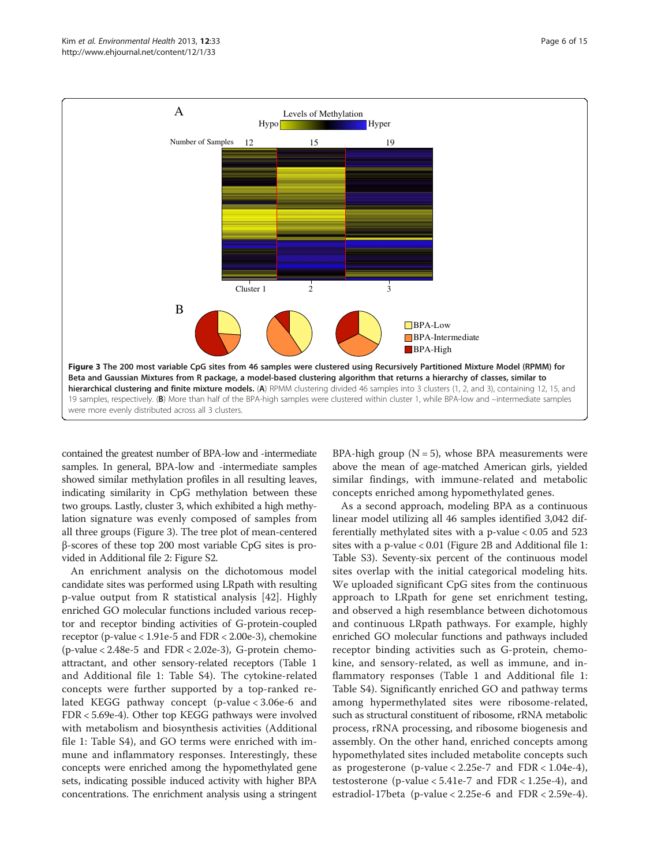<span id="page-5-0"></span>

contained the greatest number of BPA-low and -intermediate samples. In general, BPA-low and -intermediate samples showed similar methylation profiles in all resulting leaves, indicating similarity in CpG methylation between these two groups. Lastly, cluster 3, which exhibited a high methylation signature was evenly composed of samples from all three groups (Figure 3). The tree plot of mean-centered β-scores of these top 200 most variable CpG sites is provided in Additional file [2](#page-12-0): Figure S2.

An enrichment analysis on the dichotomous model candidate sites was performed using LRpath with resulting p-value output from R statistical analysis [[42](#page-13-0)]. Highly enriched GO molecular functions included various receptor and receptor binding activities of G-protein-coupled receptor (p-value < 1.91e-5 and FDR < 2.00e-3), chemokine (p-value < 2.48e-5 and FDR < 2.02e-3), G-protein chemoattractant, and other sensory-related receptors (Table [1](#page-6-0) and Additional file [1:](#page-12-0) Table S4). The cytokine-related concepts were further supported by a top-ranked related KEGG pathway concept (p-value < 3.06e-6 and FDR < 5.69e-4). Other top KEGG pathways were involved with metabolism and biosynthesis activities (Additional file [1:](#page-12-0) Table S4), and GO terms were enriched with immune and inflammatory responses. Interestingly, these concepts were enriched among the hypomethylated gene sets, indicating possible induced activity with higher BPA concentrations. The enrichment analysis using a stringent BPA-high group ( $N = 5$ ), whose BPA measurements were above the mean of age-matched American girls, yielded similar findings, with immune-related and metabolic concepts enriched among hypomethylated genes.

As a second approach, modeling BPA as a continuous linear model utilizing all 46 samples identified 3,042 differentially methylated sites with a p-value < 0.05 and 523 sites with a p-value < 0.01 (Figure [2B](#page-4-0) and Additional file [1](#page-12-0): Table S3). Seventy-six percent of the continuous model sites overlap with the initial categorical modeling hits. We uploaded significant CpG sites from the continuous approach to LRpath for gene set enrichment testing, and observed a high resemblance between dichotomous and continuous LRpath pathways. For example, highly enriched GO molecular functions and pathways included receptor binding activities such as G-protein, chemokine, and sensory-related, as well as immune, and inflammatory responses (Table [1](#page-6-0) and Additional file [1](#page-12-0): Table S4). Significantly enriched GO and pathway terms among hypermethylated sites were ribosome-related, such as structural constituent of ribosome, rRNA metabolic process, rRNA processing, and ribosome biogenesis and assembly. On the other hand, enriched concepts among hypomethylated sites included metabolite concepts such as progesterone (p-value < 2.25e-7 and FDR < 1.04e-4), testosterone (p-value < 5.41e-7 and FDR < 1.25e-4), and estradiol-17beta (p-value < 2.25e-6 and FDR < 2.59e-4).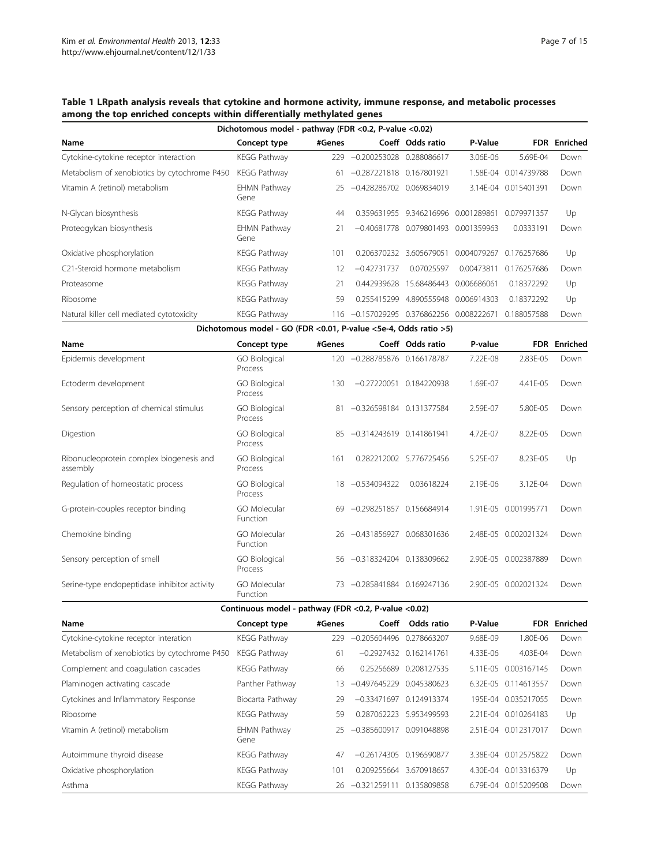| Dichotomous model - pathway (FDR <0.2, P-value <0.02) |                                              |                |             |                                                                                                                                                                                                                                                                                                                                                                                                                       |                                                                                                                                                                                            |                                                                                                                                                                                                 |  |  |  |
|-------------------------------------------------------|----------------------------------------------|----------------|-------------|-----------------------------------------------------------------------------------------------------------------------------------------------------------------------------------------------------------------------------------------------------------------------------------------------------------------------------------------------------------------------------------------------------------------------|--------------------------------------------------------------------------------------------------------------------------------------------------------------------------------------------|-------------------------------------------------------------------------------------------------------------------------------------------------------------------------------------------------|--|--|--|
| Concept type                                          | #Genes                                       |                |             | P-Value                                                                                                                                                                                                                                                                                                                                                                                                               |                                                                                                                                                                                            | <b>FDR</b> Enriched                                                                                                                                                                             |  |  |  |
| KEGG Pathway                                          | 229                                          |                |             | 3.06E-06                                                                                                                                                                                                                                                                                                                                                                                                              | 5.69E-04                                                                                                                                                                                   | Down                                                                                                                                                                                            |  |  |  |
| KEGG Pathway                                          | 61                                           |                |             |                                                                                                                                                                                                                                                                                                                                                                                                                       |                                                                                                                                                                                            | Down                                                                                                                                                                                            |  |  |  |
| EHMN Pathway<br>Gene                                  | 25                                           |                |             |                                                                                                                                                                                                                                                                                                                                                                                                                       |                                                                                                                                                                                            | Down                                                                                                                                                                                            |  |  |  |
| KEGG Pathway                                          | 44                                           |                |             |                                                                                                                                                                                                                                                                                                                                                                                                                       |                                                                                                                                                                                            | Up                                                                                                                                                                                              |  |  |  |
| EHMN Pathway<br>Gene                                  | 21                                           |                |             |                                                                                                                                                                                                                                                                                                                                                                                                                       | 0.0333191                                                                                                                                                                                  | Down                                                                                                                                                                                            |  |  |  |
| KEGG Pathway                                          | 101                                          |                |             | 0.004079267                                                                                                                                                                                                                                                                                                                                                                                                           | 0.176257686                                                                                                                                                                                | Up                                                                                                                                                                                              |  |  |  |
| <b>KEGG Pathway</b>                                   | 12                                           | $-0.42731737$  | 0.07025597  | 0.00473811                                                                                                                                                                                                                                                                                                                                                                                                            | 0.176257686                                                                                                                                                                                | Down                                                                                                                                                                                            |  |  |  |
| KEGG Pathway                                          | 21                                           | 0.442939628    | 15.68486443 | 0.006686061                                                                                                                                                                                                                                                                                                                                                                                                           | 0.18372292                                                                                                                                                                                 | Up                                                                                                                                                                                              |  |  |  |
| KEGG Pathway                                          | 59                                           |                |             |                                                                                                                                                                                                                                                                                                                                                                                                                       | 0.18372292                                                                                                                                                                                 | Up                                                                                                                                                                                              |  |  |  |
| <b>KEGG Pathway</b>                                   |                                              |                |             |                                                                                                                                                                                                                                                                                                                                                                                                                       | 0.188057588                                                                                                                                                                                | Down                                                                                                                                                                                            |  |  |  |
|                                                       |                                              |                |             |                                                                                                                                                                                                                                                                                                                                                                                                                       |                                                                                                                                                                                            |                                                                                                                                                                                                 |  |  |  |
| Concept type                                          | #Genes                                       |                |             | P-value                                                                                                                                                                                                                                                                                                                                                                                                               |                                                                                                                                                                                            | <b>FDR</b> Enriched                                                                                                                                                                             |  |  |  |
| GO Biological<br>Process                              |                                              |                |             | 7.22E-08                                                                                                                                                                                                                                                                                                                                                                                                              | 2.83E-05                                                                                                                                                                                   | Down                                                                                                                                                                                            |  |  |  |
| GO Biological<br>Process                              | 130                                          |                | 0.184220938 | 1.69E-07                                                                                                                                                                                                                                                                                                                                                                                                              | 4.41E-05                                                                                                                                                                                   | Down                                                                                                                                                                                            |  |  |  |
| GO Biological<br>Process                              | 81                                           |                |             | 2.59E-07                                                                                                                                                                                                                                                                                                                                                                                                              | 5.80E-05                                                                                                                                                                                   | Down                                                                                                                                                                                            |  |  |  |
| GO Biological<br>Process                              | 85                                           |                |             | 4.72E-07                                                                                                                                                                                                                                                                                                                                                                                                              | 8.22E-05                                                                                                                                                                                   | Down                                                                                                                                                                                            |  |  |  |
| GO Biological<br>Process                              | 161                                          |                |             | 5.25E-07                                                                                                                                                                                                                                                                                                                                                                                                              | 8.23E-05                                                                                                                                                                                   | Up                                                                                                                                                                                              |  |  |  |
| GO Biological<br>Process                              | 18                                           | $-0.534094322$ | 0.03618224  | 2.19E-06                                                                                                                                                                                                                                                                                                                                                                                                              | 3.12E-04                                                                                                                                                                                   | Down                                                                                                                                                                                            |  |  |  |
| GO Molecular<br>Function                              | 69                                           |                |             |                                                                                                                                                                                                                                                                                                                                                                                                                       |                                                                                                                                                                                            | Down                                                                                                                                                                                            |  |  |  |
| GO Molecular<br>Function                              | 26                                           |                |             |                                                                                                                                                                                                                                                                                                                                                                                                                       |                                                                                                                                                                                            | Down                                                                                                                                                                                            |  |  |  |
| GO Biological<br>Process                              |                                              |                |             |                                                                                                                                                                                                                                                                                                                                                                                                                       |                                                                                                                                                                                            | Down                                                                                                                                                                                            |  |  |  |
| GO Molecular<br>Function                              |                                              |                |             |                                                                                                                                                                                                                                                                                                                                                                                                                       |                                                                                                                                                                                            | Down                                                                                                                                                                                            |  |  |  |
|                                                       | Metabolism of xenobiotics by cytochrome P450 |                | 120         | Coeff Odds ratio<br>$-0.200253028$ 0.288086617<br>-0.287221818 0.167801921<br>$-0.428286702$ 0.069834019<br>0.206370232 3.605679051<br>Coeff Odds ratio<br>$-0.288785876$ 0.166178787<br>$-0.27220051$<br>$-0.326598184$ 0.131377584<br>$-0.314243619$ 0.141861941<br>0.282212002 5.776725456<br>$-0.298251857$ 0.156684914<br>-0.431856927 0.068301636<br>56 -0.318324204 0.138309662<br>73 -0.285841884 0.169247136 | -0.40681778 0.079801493 0.001359963<br>0.255415299 4.890555948 0.006914303<br>116 -0.157029295 0.376862256 0.008222671<br>Dichotomous model - GO (FDR <0.01, P-value <5e-4, Odds ratio >5) | 1.58E-04 0.014739788<br>3.14E-04 0.015401391<br>0.359631955 9.346216996 0.001289861 0.079971357<br>1.91E-05 0.001995771<br>2.48E-05 0.002021324<br>2.90E-05 0.002387889<br>2.90E-05 0.002021324 |  |  |  |

# <span id="page-6-0"></span>Table 1 LRpath analysis reveals that cytokine and hormone activity, immune response, and metabolic processes among the top enriched concepts within differentially methylated genes

| Continuous model - pathway (FDR <0.2, P-value <0.02) |                      |        |                |             |              |              |                     |
|------------------------------------------------------|----------------------|--------|----------------|-------------|--------------|--------------|---------------------|
| Name                                                 | Concept type         | #Genes | Coeff          | Odds ratio  | P-Value      |              | <b>FDR</b> Enriched |
| Cytokine-cytokine receptor interation                | KEGG Pathway         | 229    | $-0.205604496$ | 0.278663207 | 9.68E-09     | 1.80E-06     | Down                |
| Metabolism of xenobiotics by cytochrome P450         | KEGG Pathway         | 61     | $-0.2927432$   | 0.162141761 | 4.33E-06     | $4.03F - 04$ | Down                |
| Complement and coagulation cascades                  | KEGG Pathway         | 66     | 0.25256689     | 0.208127535 | 5.11E-05     | 0.003167145  | Down                |
| Plaminogen activating cascade                        | Panther Pathway      | 13     | $-0.497645229$ | 0.045380623 | $6.32F-05$   | 0.114613557  | Down                |
| Cytokines and Inflammatory Response                  | Biocarta Pathway     | 29     | $-0.33471697$  | 0.124913374 | 195F-04      | 0.035217055  | Down                |
| Ribosome                                             | KEGG Pathway         | 59     | 0.287062223    | 5.953499593 | $2.21F - 04$ | 0.010264183  | Up                  |
| Vitamin A (retinol) metabolism                       | EHMN Pathway<br>Gene | 25     | $-0.385600917$ | 0.091048898 | 2.51E-04     | 0.012317017  | Down                |
| Autoimmune thyroid disease                           | KEGG Pathway         | 47     | $-0.26174305$  | 0.196590877 | 3.38F-04     | 0.012575822  | Down                |
| Oxidative phosphorylation                            | KEGG Pathway         | 101    | 0.209255664    | 3.670918657 | 4.30E-04     | 0.013316379  | Up                  |
| Asthma                                               | KEGG Pathway         | 26     | $-0.321259111$ | 0.135809858 | 6.79E-04     | 0.015209508  | Down                |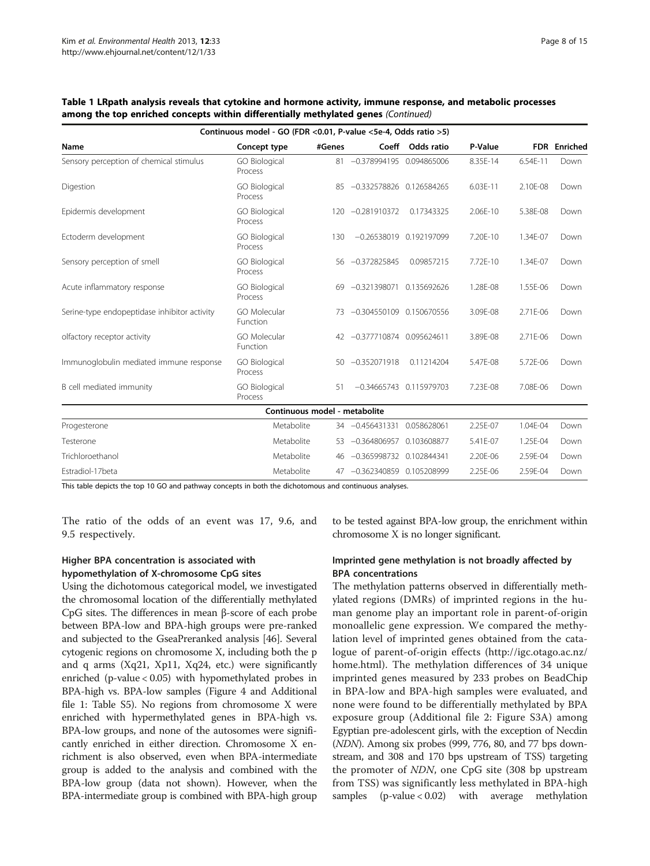| Continuous model - GO (FDR <0.01, P-value <5e-4, Odds ratio >5) |                                 |        |                             |                           |          |          |                     |  |
|-----------------------------------------------------------------|---------------------------------|--------|-----------------------------|---------------------------|----------|----------|---------------------|--|
| Name                                                            | Concept type                    | #Genes | Coeff                       | Odds ratio                | P-Value  |          | <b>FDR</b> Enriched |  |
| Sensory perception of chemical stimulus                         | GO Biological<br>Process        |        | 81 -0.378994195 0.094865006 |                           | 8.35E-14 | 6.54E-11 | Down                |  |
| Digestion                                                       | GO Biological<br>Process        |        | 85 -0.332578826 0.126584265 |                           | 6.03E-11 | 2.10E-08 | Down                |  |
| Epidermis development                                           | GO Biological<br>Process        |        | 120 -0.281910372            | 0.17343325                | 2.06E-10 | 5.38E-08 | Down                |  |
| Ectoderm development                                            | GO Biological<br>Process        | 130    |                             | $-0.26538019$ 0.192197099 | 7.20E-10 | 1.34E-07 | Down                |  |
| Sensory perception of smell                                     | GO Biological<br>Process        |        | 56 -0.372825845             | 0.09857215                | 7.72E-10 | 1.34E-07 | Down                |  |
| Acute inflammatory response                                     | GO Biological<br>Process        | 69.    | $-0.321398071$              | 0.135692626               | 1.28E-08 | 1.55E-06 | Down                |  |
| Serine-type endopeptidase inhibitor activity                    | GO Molecular<br>Function        | 73     | -0.304550109 0.150670556    |                           | 3.09E-08 | 2.71E-06 | Down                |  |
| olfactory receptor activity                                     | GO Molecular<br><b>Function</b> |        | 42 -0.377710874 0.095624611 |                           | 3.89E-08 | 2.71E-06 | Down                |  |
| Immunoglobulin mediated immune response                         | GO Biological<br>Process        |        | 50 -0.352071918             | 0.11214204                | 5.47F-08 | 5.72E-06 | Down                |  |
| B cell mediated immunity                                        | GO Biological<br>Process        | 51     | $-0.34665743$ 0.115979703   |                           | 7.23E-08 | 7.08E-06 | Down                |  |
|                                                                 | Continuous model - metabolite   |        |                             |                           |          |          |                     |  |
| Progesterone                                                    | Metabolite                      |        | 34 -0.456431331             | 0.058628061               | 2.25E-07 | 1.04E-04 | Down                |  |
| Testerone                                                       | Metabolite                      | 53     | $-0.364806957$              | 0.103608877               | 5.41E-07 | 1.25E-04 | Down                |  |
| Trichloroethanol                                                | Metabolite                      |        | 46 -0.365998732 0.102844341 |                           | 2.20E-06 | 2.59E-04 | Down                |  |
| Estradiol-17beta                                                | Metabolite                      |        | 47 -0.362340859 0.105208999 |                           | 2.25E-06 | 2.59E-04 | Down                |  |
|                                                                 |                                 |        |                             |                           |          |          |                     |  |

Table 1 LRpath analysis reveals that cytokine and hormone activity, immune response, and metabolic processes among the top enriched concepts within differentially methylated genes (Continued)

This table depicts the top 10 GO and pathway concepts in both the dichotomous and continuous analyses.

The ratio of the odds of an event was 17, 9.6, and 9.5 respectively.

# Higher BPA concentration is associated with hypomethylation of X-chromosome CpG sites

Using the dichotomous categorical model, we investigated the chromosomal location of the differentially methylated CpG sites. The differences in mean β-score of each probe between BPA-low and BPA-high groups were pre-ranked and subjected to the GseaPreranked analysis [[46\]](#page-13-0). Several cytogenic regions on chromosome X, including both the p and q arms (Xq21, Xp11, Xq24, etc.) were significantly enriched (p-value < 0.05) with hypomethylated probes in BPA-high vs. BPA-low samples (Figure [4](#page-8-0) and Additional file [1:](#page-12-0) Table S5). No regions from chromosome X were enriched with hypermethylated genes in BPA-high vs. BPA-low groups, and none of the autosomes were significantly enriched in either direction. Chromosome X enrichment is also observed, even when BPA-intermediate group is added to the analysis and combined with the BPA-low group (data not shown). However, when the BPA-intermediate group is combined with BPA-high group to be tested against BPA-low group, the enrichment within chromosome X is no longer significant.

# Imprinted gene methylation is not broadly affected by BPA concentrations

The methylation patterns observed in differentially methylated regions (DMRs) of imprinted regions in the human genome play an important role in parent-of-origin monoallelic gene expression. We compared the methylation level of imprinted genes obtained from the catalogue of parent-of-origin effects ([http://igc.otago.ac.nz/](http://igc.otago.ac.nz/home.html) [home.html\)](http://igc.otago.ac.nz/home.html). The methylation differences of 34 unique imprinted genes measured by 233 probes on BeadChip in BPA-low and BPA-high samples were evaluated, and none were found to be differentially methylated by BPA exposure group (Additional file [2:](#page-12-0) Figure S3A) among Egyptian pre-adolescent girls, with the exception of Necdin (NDN). Among six probes (999, 776, 80, and 77 bps downstream, and 308 and 170 bps upstream of TSS) targeting the promoter of NDN, one CpG site (308 bp upstream from TSS) was significantly less methylated in BPA-high samples (p-value < 0.02) with average methylation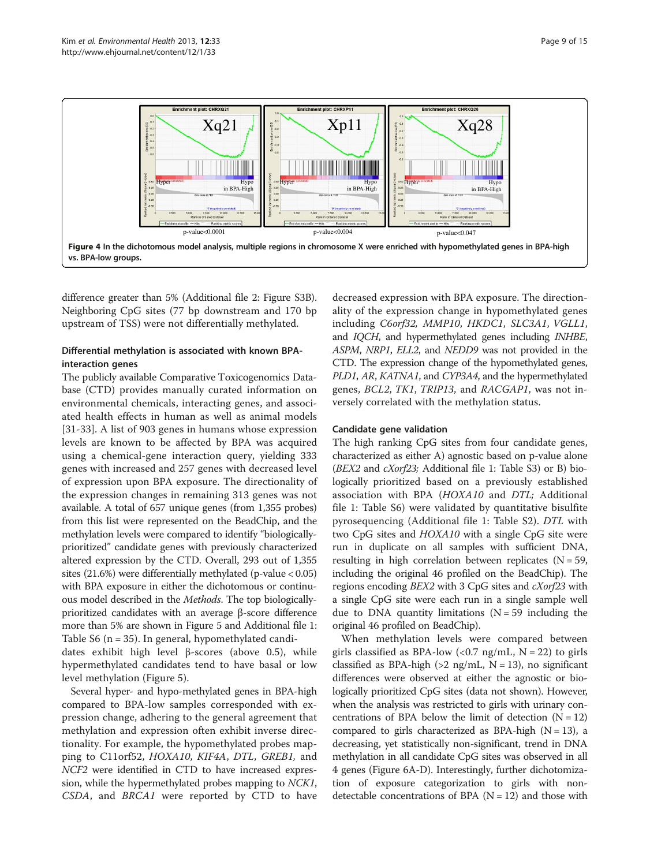<span id="page-8-0"></span>

difference greater than 5% (Additional file [2:](#page-12-0) Figure S3B). Neighboring CpG sites (77 bp downstream and 170 bp upstream of TSS) were not differentially methylated.

# Differential methylation is associated with known BPAinteraction genes

The publicly available Comparative Toxicogenomics Database (CTD) provides manually curated information on environmental chemicals, interacting genes, and associated health effects in human as well as animal models [[31-33\]](#page-13-0). A list of 903 genes in humans whose expression levels are known to be affected by BPA was acquired using a chemical-gene interaction query, yielding 333 genes with increased and 257 genes with decreased level of expression upon BPA exposure. The directionality of the expression changes in remaining 313 genes was not available. A total of 657 unique genes (from 1,355 probes) from this list were represented on the BeadChip, and the methylation levels were compared to identify "biologicallyprioritized" candidate genes with previously characterized altered expression by the CTD. Overall, 293 out of 1,355 sites (21.6%) were differentially methylated (p-value < 0.05) with BPA exposure in either the dichotomous or continuous model described in the [Methods](#page-1-0). The top biologicallyprioritized candidates with an average β-score difference more than 5% are shown in Figure [5](#page-9-0) and Additional file [1](#page-12-0): Table S6 (n = 35). In general, hypomethylated candidates exhibit high level β-scores (above 0.5), while hypermethylated candidates tend to have basal or low

level methylation (Figure [5\)](#page-9-0). Several hyper- and hypo-methylated genes in BPA-high compared to BPA-low samples corresponded with expression change, adhering to the general agreement that methylation and expression often exhibit inverse directionality. For example, the hypomethylated probes mapping to C11orf52, HOXA10, KIF4A, DTL, GREB1, and NCF2 were identified in CTD to have increased expression, while the hypermethylated probes mapping to NCK1, CSDA, and BRCA1 were reported by CTD to have

decreased expression with BPA exposure. The directionality of the expression change in hypomethylated genes including C6orf32, MMP10, HKDC1, SLC3A1, VGLL1, and IQCH, and hypermethylated genes including INHBE, ASPM, NRP1, ELL2, and NEDD9 was not provided in the CTD. The expression change of the hypomethylated genes, PLD1, AR, KATNA1, and CYP3A4, and the hypermethylated genes, BCL2, TK1, TRIP13, and RACGAP1, was not inversely correlated with the methylation status.

# Candidate gene validation

The high ranking CpG sites from four candidate genes, characterized as either A) agnostic based on p-value alone (BEX2 and cXorf23; Additional file [1](#page-12-0): Table S3) or B) biologically prioritized based on a previously established association with BPA (HOXA10 and DTL; Additional file [1](#page-12-0): Table S6) were validated by quantitative bisulfite pyrosequencing (Additional file [1](#page-12-0): Table S2). DTL with two CpG sites and HOXA10 with a single CpG site were run in duplicate on all samples with sufficient DNA, resulting in high correlation between replicates  $(N = 59, 100)$ including the original 46 profiled on the BeadChip). The regions encoding BEX2 with 3 CpG sites and cXorf23 with a single CpG site were each run in a single sample well due to DNA quantity limitations  $(N = 59$  including the original 46 profiled on BeadChip).

When methylation levels were compared between girls classified as BPA-low  $\langle$  -0.7 ng/mL, N = 22) to girls classified as BPA-high ( $>2$  ng/mL, N = 13), no significant differences were observed at either the agnostic or biologically prioritized CpG sites (data not shown). However, when the analysis was restricted to girls with urinary concentrations of BPA below the limit of detection  $(N = 12)$ compared to girls characterized as BPA-high ( $N = 13$ ), a decreasing, yet statistically non-significant, trend in DNA methylation in all candidate CpG sites was observed in all 4 genes (Figure [6](#page-10-0)A-D). Interestingly, further dichotomization of exposure categorization to girls with nondetectable concentrations of BPA  $(N = 12)$  and those with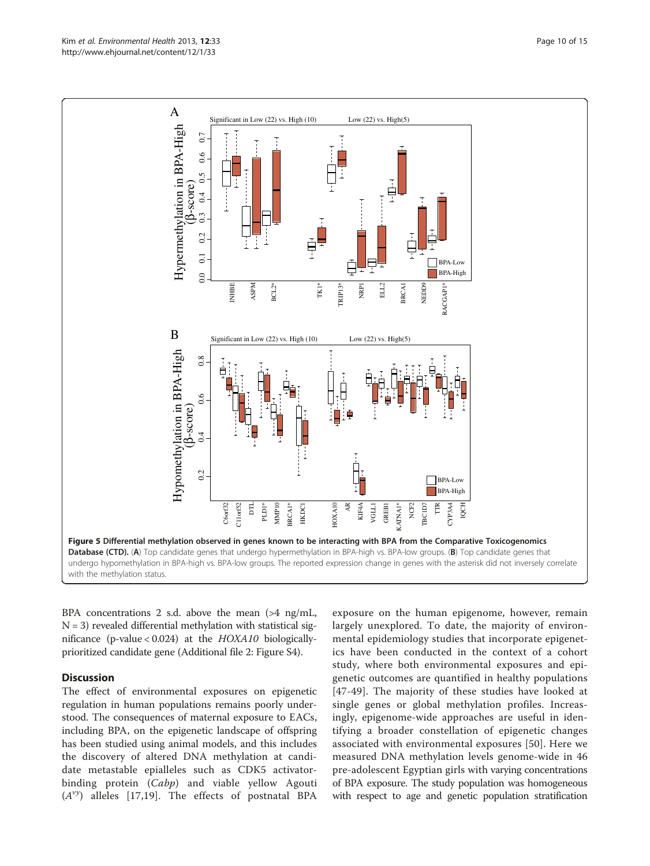BPA concentrations 2 s.d. above the mean (>4 ng/mL,  $N = 3$ ) revealed differential methylation with statistical significance (p-value <  $0.024$ ) at the *HOXA10* biologicallyprioritized candidate gene (Additional file [2](#page-12-0): Figure S4).

# **Discussion**

The effect of environmental exposures on epigenetic regulation in human populations remains poorly understood. The consequences of maternal exposure to EACs, including BPA, on the epigenetic landscape of offspring has been studied using animal models, and this includes the discovery of altered DNA methylation at candidate metastable epialleles such as CDK5 activatorbinding protein (Cabp) and viable yellow Agouti  $(A^{vy})$  alleles [\[17](#page-13-0),[19\]](#page-13-0). The effects of postnatal BPA

exposure on the human epigenome, however, remain largely unexplored. To date, the majority of environmental epidemiology studies that incorporate epigenetics have been conducted in the context of a cohort study, where both environmental exposures and epigenetic outcomes are quantified in healthy populations [[47](#page-13-0)-[49](#page-13-0)]. The majority of these studies have looked at single genes or global methylation profiles. Increasingly, epigenome-wide approaches are useful in identifying a broader constellation of epigenetic changes associated with environmental exposures [[50\]](#page-13-0). Here we measured DNA methylation levels genome-wide in 46 pre-adolescent Egyptian girls with varying concentrations of BPA exposure. The study population was homogeneous with respect to age and genetic population stratification

<span id="page-9-0"></span>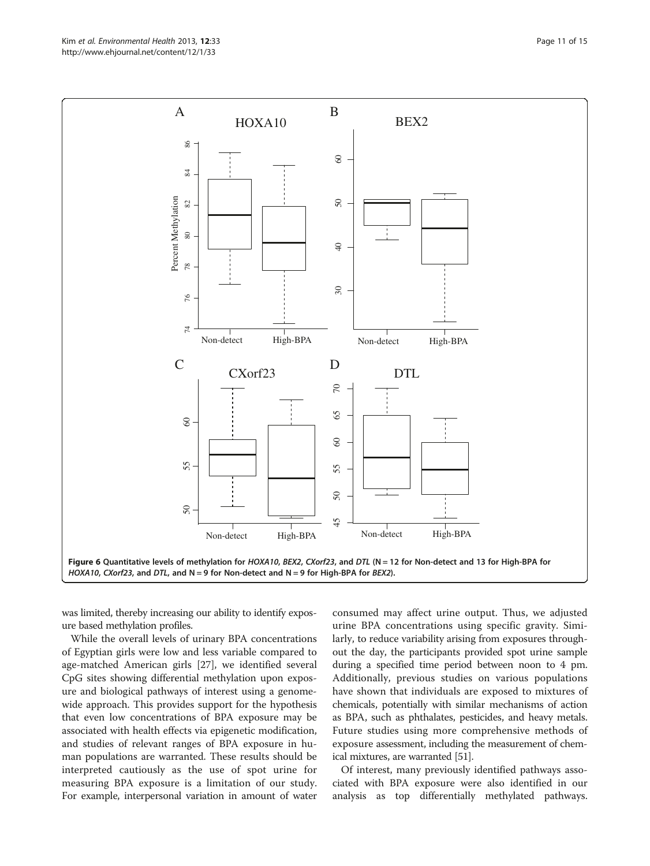was limited, thereby increasing our ability to identify exposure based methylation profiles.

While the overall levels of urinary BPA concentrations of Egyptian girls were low and less variable compared to age-matched American girls [[27](#page-13-0)], we identified several CpG sites showing differential methylation upon exposure and biological pathways of interest using a genomewide approach. This provides support for the hypothesis that even low concentrations of BPA exposure may be associated with health effects via epigenetic modification, and studies of relevant ranges of BPA exposure in human populations are warranted. These results should be interpreted cautiously as the use of spot urine for measuring BPA exposure is a limitation of our study. For example, interpersonal variation in amount of water

consumed may affect urine output. Thus, we adjusted urine BPA concentrations using specific gravity. Similarly, to reduce variability arising from exposures throughout the day, the participants provided spot urine sample during a specified time period between noon to 4 pm. Additionally, previous studies on various populations have shown that individuals are exposed to mixtures of chemicals, potentially with similar mechanisms of action as BPA, such as phthalates, pesticides, and heavy metals. Future studies using more comprehensive methods of exposure assessment, including the measurement of chemical mixtures, are warranted [[51](#page-13-0)].

Of interest, many previously identified pathways associated with BPA exposure were also identified in our analysis as top differentially methylated pathways.

<span id="page-10-0"></span>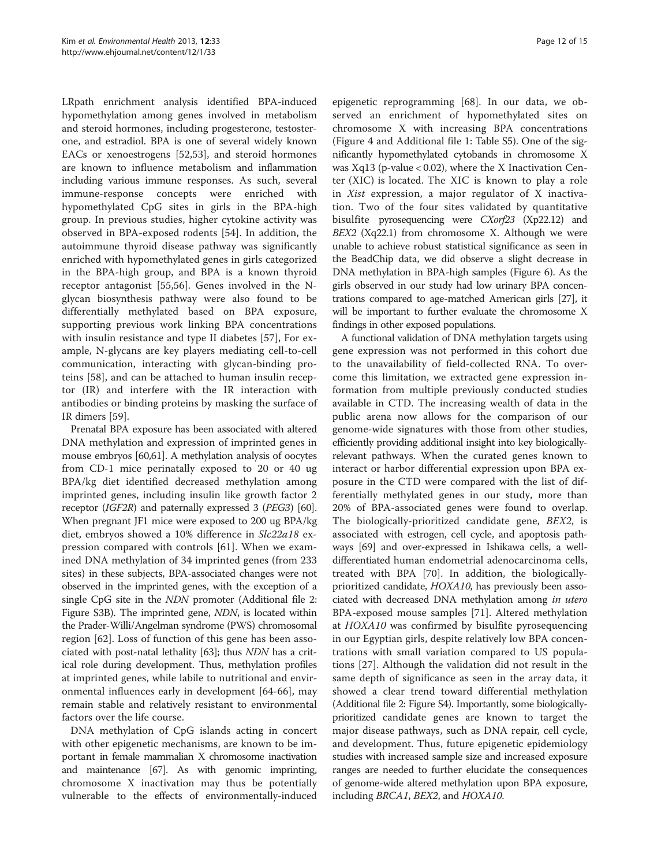LRpath enrichment analysis identified BPA-induced hypomethylation among genes involved in metabolism and steroid hormones, including progesterone, testosterone, and estradiol. BPA is one of several widely known EACs or xenoestrogens [\[52,53](#page-13-0)], and steroid hormones are known to influence metabolism and inflammation including various immune responses. As such, several immune-response concepts were enriched with hypomethylated CpG sites in girls in the BPA-high group. In previous studies, higher cytokine activity was observed in BPA-exposed rodents [[54](#page-13-0)]. In addition, the autoimmune thyroid disease pathway was significantly enriched with hypomethylated genes in girls categorized in the BPA-high group, and BPA is a known thyroid receptor antagonist [[55,56](#page-14-0)]. Genes involved in the Nglycan biosynthesis pathway were also found to be differentially methylated based on BPA exposure, supporting previous work linking BPA concentrations with insulin resistance and type II diabetes [[57\]](#page-14-0), For example, N-glycans are key players mediating cell-to-cell communication, interacting with glycan-binding proteins [[58\]](#page-14-0), and can be attached to human insulin receptor (IR) and interfere with the IR interaction with antibodies or binding proteins by masking the surface of IR dimers [[59](#page-14-0)].

Prenatal BPA exposure has been associated with altered DNA methylation and expression of imprinted genes in mouse embryos [[60,61](#page-14-0)]. A methylation analysis of oocytes from CD-1 mice perinatally exposed to 20 or 40 ug BPA/kg diet identified decreased methylation among imprinted genes, including insulin like growth factor 2 receptor (IGF2R) and paternally expressed 3 (PEG3) [[60](#page-14-0)]. When pregnant JF1 mice were exposed to 200 ug BPA/kg diet, embryos showed a 10% difference in Slc22a18 expression compared with controls [\[61](#page-14-0)]. When we examined DNA methylation of 34 imprinted genes (from 233 sites) in these subjects, BPA-associated changes were not observed in the imprinted genes, with the exception of a single CpG site in the NDN promoter (Additional file [2](#page-12-0): Figure S3B). The imprinted gene, NDN, is located within the Prader-Willi/Angelman syndrome (PWS) chromosomal region [\[62](#page-14-0)]. Loss of function of this gene has been associated with post-natal lethality [[63](#page-14-0)]; thus NDN has a critical role during development. Thus, methylation profiles at imprinted genes, while labile to nutritional and environmental influences early in development [[64-66](#page-14-0)], may remain stable and relatively resistant to environmental factors over the life course.

DNA methylation of CpG islands acting in concert with other epigenetic mechanisms, are known to be important in female mammalian X chromosome inactivation and maintenance [\[67](#page-14-0)]. As with genomic imprinting, chromosome X inactivation may thus be potentially vulnerable to the effects of environmentally-induced

epigenetic reprogramming [[68\]](#page-14-0). In our data, we observed an enrichment of hypomethylated sites on chromosome X with increasing BPA concentrations (Figure [4](#page-8-0) and Additional file [1:](#page-12-0) Table S5). One of the significantly hypomethylated cytobands in chromosome X was Xq13 (p-value < 0.02), where the X Inactivation Center (XIC) is located. The XIC is known to play a role in Xist expression, a major regulator of X inactivation. Two of the four sites validated by quantitative bisulfite pyrosequencing were CXorf23 (Xp22.12) and BEX2 (Xq22.1) from chromosome X. Although we were unable to achieve robust statistical significance as seen in the BeadChip data, we did observe a slight decrease in DNA methylation in BPA-high samples (Figure [6\)](#page-10-0). As the girls observed in our study had low urinary BPA concentrations compared to age-matched American girls [\[27\]](#page-13-0), it will be important to further evaluate the chromosome X findings in other exposed populations.

A functional validation of DNA methylation targets using gene expression was not performed in this cohort due to the unavailability of field-collected RNA. To overcome this limitation, we extracted gene expression information from multiple previously conducted studies available in CTD. The increasing wealth of data in the public arena now allows for the comparison of our genome-wide signatures with those from other studies, efficiently providing additional insight into key biologicallyrelevant pathways. When the curated genes known to interact or harbor differential expression upon BPA exposure in the CTD were compared with the list of differentially methylated genes in our study, more than 20% of BPA-associated genes were found to overlap. The biologically-prioritized candidate gene, BEX2, is associated with estrogen, cell cycle, and apoptosis pathways [[69](#page-14-0)] and over-expressed in Ishikawa cells, a welldifferentiated human endometrial adenocarcinoma cells, treated with BPA [[70\]](#page-14-0). In addition, the biologicallyprioritized candidate, HOXA10, has previously been associated with decreased DNA methylation among in utero BPA-exposed mouse samples [[71\]](#page-14-0). Altered methylation at HOXA10 was confirmed by bisulfite pyrosequencing in our Egyptian girls, despite relatively low BPA concentrations with small variation compared to US populations [[27\]](#page-13-0). Although the validation did not result in the same depth of significance as seen in the array data, it showed a clear trend toward differential methylation (Additional file [2:](#page-12-0) Figure S4). Importantly, some biologicallyprioritized candidate genes are known to target the major disease pathways, such as DNA repair, cell cycle, and development. Thus, future epigenetic epidemiology studies with increased sample size and increased exposure ranges are needed to further elucidate the consequences of genome-wide altered methylation upon BPA exposure, including BRCA1, BEX2, and HOXA10.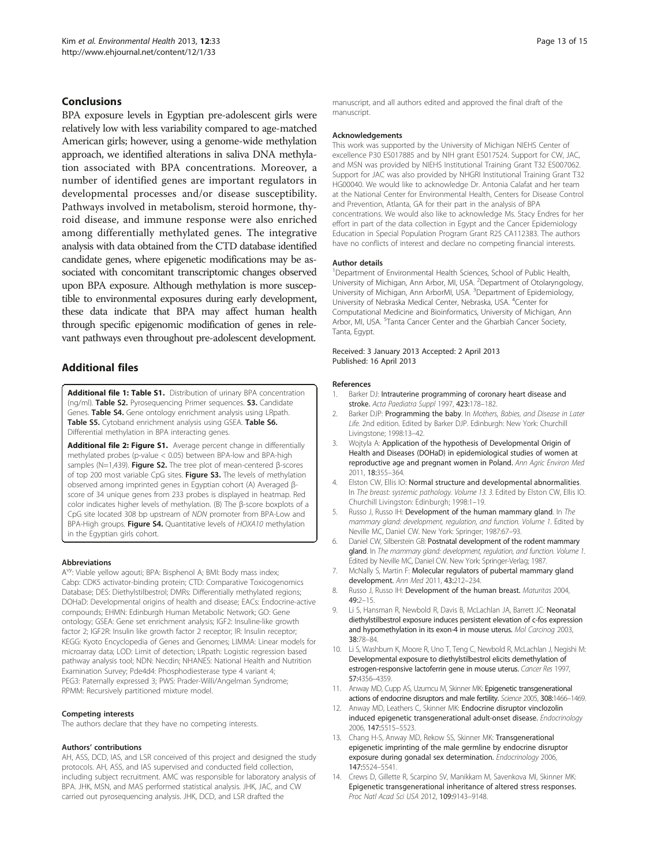# <span id="page-12-0"></span>Conclusions

BPA exposure levels in Egyptian pre-adolescent girls were relatively low with less variability compared to age-matched American girls; however, using a genome-wide methylation approach, we identified alterations in saliva DNA methylation associated with BPA concentrations. Moreover, a number of identified genes are important regulators in developmental processes and/or disease susceptibility. Pathways involved in metabolism, steroid hormone, thyroid disease, and immune response were also enriched among differentially methylated genes. The integrative analysis with data obtained from the CTD database identified candidate genes, where epigenetic modifications may be associated with concomitant transcriptomic changes observed upon BPA exposure. Although methylation is more susceptible to environmental exposures during early development, these data indicate that BPA may affect human health through specific epigenomic modification of genes in relevant pathways even throughout pre-adolescent development.

# Additional files

[Additional file 1: Table S1.](http://www.biomedcentral.com/content/supplementary/1476-069X-12-33-S1.xlsx) Distribution of urinary BPA concentration (ng/ml). Table S2. Pyrosequencing Primer sequences. S3. Candidate Genes. Table S4. Gene ontology enrichment analysis using LRpath. Table S5. Cytoband enrichment analysis using GSEA. Table S6. Differential methylation in BPA interacting genes.

[Additional file 2: Figure S1.](http://www.biomedcentral.com/content/supplementary/1476-069X-12-33-S2.docx) Average percent change in differentially methylated probes (p-value < 0.05) between BPA-low and BPA-high samples (N=1,439). Figure S2. The tree plot of mean-centered β-scores of top 200 most variable CpG sites. Figure S3. The levels of methylation observed among imprinted genes in Egyptian cohort (A) Averaged βscore of 34 unique genes from 233 probes is displayed in heatmap. Red color indicates higher levels of methylation. (B) The β-score boxplots of a CpG site located 308 bp upstream of NDN promoter from BPA-Low and BPA-High groups. Figure S4. Quantitative levels of HOXA10 methylation in the Egyptian girls cohort.

## Abbreviations

A<sup>vy</sup>: Viable yellow agouti; BPA: Bisphenol A; BMI: Body mass index; Cabp: CDK5 activator-binding protein; CTD: Comparative Toxicogenomics Database; DES: Diethylstilbestrol; DMRs: Differentially methylated regions; DOHaD: Developmental origins of health and disease; EACs: Endocrine-active compounds; EHMN: Edinburgh Human Metabolic Network; GO: Gene ontology; GSEA: Gene set enrichment analysis; IGF2: Insuline-like growth factor 2; IGF2R: Insulin like growth factor 2 receptor; IR: Insulin receptor; KEGG: Kyoto Encyclopedia of Genes and Genomes; LIMMA: Linear models for microarray data; LOD: Limit of detection; LRpath: Logistic regression based pathway analysis tool; NDN: Necdin; NHANES: National Health and Nutrition Examination Survey; Pde4d4: Phosphodiesterase type 4 variant 4; PEG3: Paternally expressed 3; PWS: Prader-Willi/Angelman Syndrome; RPMM: Recursively partitioned mixture model.

### Competing interests

The authors declare that they have no competing interests.

## Authors' contributions

AH, ASS, DCD, IAS, and LSR conceived of this project and designed the study protocols. AH, ASS, and IAS supervised and conducted field collection, including subject recruitment. AMC was responsible for laboratory analysis of BPA. JHK, MSN, and MAS performed statistical analysis. JHK, JAC, and CW carried out pyrosequencing analysis. JHK, DCD, and LSR drafted the

manuscript, and all authors edited and approved the final draft of the manuscript.

## Acknowledgements

This work was supported by the University of Michigan NIEHS Center of excellence P30 ES017885 and by NIH grant ES017524. Support for CW, JAC, and MSN was provided by NIEHS Institutional Training Grant T32 ES007062. Support for JAC was also provided by NHGRI Institutional Training Grant T32 HG00040. We would like to acknowledge Dr. Antonia Calafat and her team at the National Center for Environmental Health, Centers for Disease Control and Prevention, Atlanta, GA for their part in the analysis of BPA concentrations. We would also like to acknowledge Ms. Stacy Endres for her effort in part of the data collection in Egypt and the Cancer Epidemiology Education in Special Population Program Grant R25 CA112383. The authors have no conflicts of interest and declare no competing financial interests.

## Author details

<sup>1</sup>Department of Environmental Health Sciences, School of Public Health University of Michigan, Ann Arbor, MI, USA. <sup>2</sup> Department of Otolaryngology, University of Michigan, Ann ArborMI, USA. <sup>3</sup>Department of Epidemiology University of Nebraska Medical Center, Nebraska, USA. <sup>4</sup> Center for Computational Medicine and Bioinformatics, University of Michigan, Ann Arbor, MI, USA. <sup>5</sup>Tanta Cancer Center and the Gharbiah Cancer Society, Tanta, Egypt.

## Received: 3 January 2013 Accepted: 2 April 2013 Published: 16 April 2013

#### References

- 1. Barker DJ: Intrauterine programming of coronary heart disease and stroke. Acta Paediatra Suppl 1997, 423:178–182.
- 2. Barker DJP: Programming the baby. In Mothers, Babies, and Disease in Later Life. 2nd edition. Edited by Barker DJP. Edinburgh: New York: Churchill Livingstone; 1998:13–42.
- 3. Wojtyla A: Application of the hypothesis of Developmental Origin of Health and Diseases (DOHaD) in epidemiological studies of women at reproductive age and pregnant women in Poland. Ann Agric Environ Med 2011, 18:355–364.
- 4. Elston CW, Ellis IO: Normal structure and developmental abnormalities. In The breast: systemic pathology. Volume 13. 3. Edited by Elston CW, Ellis IO. Churchill Livingston: Edinburgh; 1998:1–19.
- 5. Russo J, Russo IH: Development of the human mammary gland. In The mammary gland: development, regulation, and function. Volume 1. Edited by Neville MC, Daniel CW. New York: Springer; 1987:67–93.
- 6. Daniel CW, Silberstein GB: Postnatal development of the rodent mammary gland. In The mammary gland: development, regulation, and function. Volume 1. Edited by Neville MC, Daniel CW. New York: Springer-Verlag; 1987.
- 7. McNally S, Martin F: Molecular regulators of pubertal mammary gland development. Ann Med 2011, 43:212–234.
- 8. Russo J, Russo IH: Development of the human breast. Maturitas 2004, 49:2–15.
- 9. Li S, Hansman R, Newbold R, Davis B, McLachlan JA, Barrett JC: Neonatal diethylstilbestrol exposure induces persistent elevation of c-fos expression and hypomethylation in its exon-4 in mouse uterus. Mol Carcinog 2003, 38:78–84.
- 10. Li S, Washburn K, Moore R, Uno T, Teng C, Newbold R, McLachlan J, Negishi M: Developmental exposure to diethylstilbestrol elicits demethylation of estrogen-responsive lactoferrin gene in mouse uterus. Cancer Res 1997, 57:4356–4359.
- 11. Anway MD, Cupp AS, Uzumcu M, Skinner MK: Epigenetic transgenerational actions of endocrine disruptors and male fertility. Science 2005, 308:1466-1469.
- 12. Anway MD, Leathers C, Skinner MK: Endocrine disruptor vinclozolin induced epigenetic transgenerational adult-onset disease. Endocrinology 2006, 147:5515–5523.
- 13. Chang H-S, Anway MD, Rekow SS, Skinner MK: Transgenerational epigenetic imprinting of the male germline by endocrine disruptor exposure during gonadal sex determination. Endocrinology 2006, 147:5524–5541.
- 14. Crews D, Gillette R, Scarpino SV, Manikkam M, Savenkova MI, Skinner MK: Epigenetic transgenerational inheritance of altered stress responses. Proc Natl Acad Sci USA 2012, 109:9143–9148.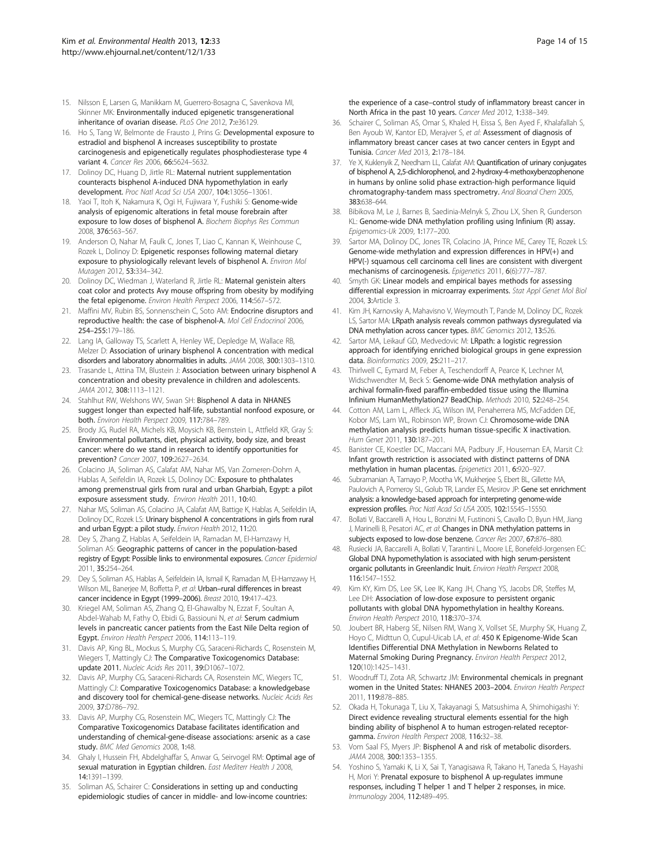- <span id="page-13-0"></span>15. Nilsson E, Larsen G, Manikkam M, Guerrero-Bosagna C, Savenkova MI, Skinner MK: Environmentally induced epigenetic transgenerational inheritance of ovarian disease. PLoS One 2012, 7:e36129.
- 16. Ho S, Tang W, Belmonte de Frausto J, Prins G: Developmental exposure to estradiol and bisphenol A increases susceptibility to prostate carcinogenesis and epigenetically regulates phosphodiesterase type 4 variant 4. Cancer Res 2006, 66:5624–5632.
- 17. Dolinoy DC, Huang D, Jirtle RL: Maternal nutrient supplementation counteracts bisphenol A-induced DNA hypomethylation in early development. Proc Natl Acad Sci USA 2007, 104:13056–13061.
- 18. Yaoi T, Itoh K, Nakamura K, Ogi H, Fujiwara Y, Fushiki S: Genome-wide analysis of epigenomic alterations in fetal mouse forebrain after exposure to low doses of bisphenol A. Biochem Biophys Res Commun 2008, 376:563–567.
- 19. Anderson O, Nahar M, Faulk C, Jones T, Liao C, Kannan K, Weinhouse C, Rozek L, Dolinoy D: Epigenetic responses following maternal dietary exposure to physiologically relevant levels of bisphenol A. Environ Mol Mutagen 2012, 53:334–342.
- 20. Dolinoy DC, Wiedman J, Waterland R, Jirtle RL: Maternal genistein alters coat color and protects Avy mouse offspring from obesity by modifying the fetal epigenome. Environ Health Perspect 2006, 114:567–572.
- 21. Maffini MV, Rubin BS, Sonnenschein C, Soto AM: Endocrine disruptors and reproductive health: the case of bisphenol-A. Mol Cell Endocrinol 2006, 254–255:179–186.
- 22. Lang IA, Galloway TS, Scarlett A, Henley WE, Depledge M, Wallace RB, Melzer D: Association of urinary bisphenol A concentration with medical disorders and laboratory abnormalities in adults. JAMA 2008, 300:1303–1310.
- 23. Trasande L, Attina TM, Blustein J: Association between urinary bisphenol A concentration and obesity prevalence in children and adolescents. JAMA 2012, 308:1113–1121.
- 24. Stahlhut RW, Welshons WV, Swan SH: Bisphenol A data in NHANES suggest longer than expected half-life, substantial nonfood exposure, or both. Environ Health Perspect 2009, 117:784–789.
- 25. Brody JG, Rudel RA, Michels KB, Moysich KB, Bernstein L, Attfield KR, Gray S: Environmental pollutants, diet, physical activity, body size, and breast cancer: where do we stand in research to identify opportunities for prevention? Cancer 2007, 109:2627–2634.
- 26. Colacino JA, Soliman AS, Calafat AM, Nahar MS, Van Zomeren-Dohm A, Hablas A, Seifeldin IA, Rozek LS, Dolinoy DC: Exposure to phthalates among premenstrual girls from rural and urban Gharbiah, Egypt: a pilot exposure assessment study. Environ Health 2011, 10:40.
- 27. Nahar MS, Soliman AS, Colacino JA, Calafat AM, Battige K, Hablas A, Seifeldin IA, Dolinoy DC, Rozek LS: Urinary bisphenol A concentrations in girls from rural and urban Egypt: a pilot study. Environ Health 2012, 11:20.
- 28. Dey S, Zhang Z, Hablas A, Seifeldein IA, Ramadan M, El-Hamzawy H, Soliman AS: Geographic patterns of cancer in the population-based registry of Egypt: Possible links to environmental exposures. Cancer Epidemiol 2011, 35:254–264.
- 29. Dey S, Soliman AS, Hablas A, Seifeldein IA, Ismail K, Ramadan M, El-Hamzawy H, Wilson ML, Banerjee M, Boffetta P, et al: Urban-rural differences in breast cancer incidence in Egypt (1999–2006). Breast 2010, 19:417–423.
- 30. Kriegel AM, Soliman AS, Zhang Q, El-Ghawalby N, Ezzat F, Soultan A, Abdel-Wahab M, Fathy O, Ebidi G, Bassiouni N, et al: Serum cadmium levels in pancreatic cancer patients from the East Nile Delta region of Egypt. Environ Health Perspect 2006, 114:113–119.
- 31. Davis AP, King BL, Mockus S, Murphy CG, Saraceni-Richards C, Rosenstein M, Wiegers T, Mattingly CJ: The Comparative Toxicogenomics Database: update 2011. Nucleic Acids Res 2011, 39:D1067–1072.
- 32. Davis AP, Murphy CG, Saraceni-Richards CA, Rosenstein MC, Wiegers TC, Mattingly CJ: Comparative Toxicogenomics Database: a knowledgebase and discovery tool for chemical-gene-disease networks. Nucleic Acids Res 2009, 37:D786–792.
- 33. Davis AP, Murphy CG, Rosenstein MC, Wiegers TC, Mattingly CJ: The Comparative Toxicogenomics Database facilitates identification and understanding of chemical-gene-disease associations: arsenic as a case study. BMC Med Genomics 2008, 1:48.
- 34. Ghaly I, Hussein FH, Abdelghaffar S, Anwar G, Seirvogel RM: Optimal age of sexual maturation in Egyptian children. East Mediterr Health J 2008, 14:1391–1399.
- 35. Soliman AS, Schairer C: Considerations in setting up and conducting epidemiologic studies of cancer in middle- and low-income countries:

the experience of a case–control study of inflammatory breast cancer in North Africa in the past 10 years. Cancer Med 2012, 1:338–349.

- 36. Schairer C, Soliman AS, Omar S, Khaled H, Eissa S, Ben Ayed F, Khalafallah S, Ben Ayoub W, Kantor ED, Merajver S, et al: Assessment of diagnosis of inflammatory breast cancer cases at two cancer centers in Egypt and Tunisia. Cancer Med 2013, 2:178–184.
- 37. Ye X, Kuklenyik Z, Needham LL, Calafat AM: Quantification of urinary conjugates of bisphenol A, 2,5-dichlorophenol, and 2-hydroxy-4-methoxybenzophenone in humans by online solid phase extraction-high performance liquid chromatography-tandem mass spectrometry. Anal Bioanal Chem 2005, 383:638–644.
- 38. Bibikova M, Le J, Barnes B, Saedinia-Melnyk S, Zhou LX, Shen R, Gunderson KL: Genome-wide DNA methylation profiling using Infinium (R) assay. Epigenomics-Uk 2009, 1:177–200.
- Sartor MA, Dolinoy DC, Jones TR, Colacino JA, Prince ME, Carey TE, Rozek LS: Genome-wide methylation and expression differences in HPV(+) and HPV(-) squamous cell carcinoma cell lines are consistent with divergent mechanisms of carcinogenesis. Epigenetics 2011, 6(6):777–787.
- 40. Smyth GK: Linear models and empirical bayes methods for assessing differential expression in microarray experiments. Stat Appl Genet Mol Biol 2004, 3:Article 3.
- 41. Kim JH, Karnovsky A, Mahavisno V, Weymouth T, Pande M, Dolinoy DC, Rozek LS, Sartor MA: LRpath analysis reveals common pathways dysregulated via DNA methylation across cancer types. BMC Genomics 2012, 13:526.
- 42. Sartor MA, Leikauf GD, Medvedovic M: LRpath: a logistic regression approach for identifying enriched biological groups in gene expression data. Bioinformatics 2009, 25:211–217.
- 43. Thirlwell C, Eymard M, Feber A, Teschendorff A, Pearce K, Lechner M, Widschwendter M, Beck S: Genome-wide DNA methylation analysis of archival formalin-fixed paraffin-embedded tissue using the Illumina Infinium HumanMethylation27 BeadChip. Methods 2010, 52:248–254.
- 44. Cotton AM, Lam L, Affleck JG, Wilson IM, Penaherrera MS, McFadden DE, Kobor MS, Lam WL, Robinson WP, Brown CJ: Chromosome-wide DNA methylation analysis predicts human tissue-specific X inactivation. Hum Genet 2011, 130:187–201.
- 45. Banister CE, Koestler DC, Maccani MA, Padbury JF, Houseman EA, Marsit CJ: Infant growth restriction is associated with distinct patterns of DNA methylation in human placentas. Epigenetics 2011, 6:920–927.
- 46. Subramanian A, Tamayo P, Mootha VK, Mukherjee S, Ebert BL, Gillette MA, Paulovich A, Pomeroy SL, Golub TR, Lander ES, Mesirov JP: Gene set enrichment analysis: a knowledge-based approach for interpreting genome-wide expression profiles. Proc Natl Acad Sci USA 2005, 102:15545–15550.
- 47. Bollati V, Baccarelli A, Hou L, Bonzini M, Fustinoni S, Cavallo D, Byun HM, Jiang J, Marinelli B, Pesatori AC, et al: Changes in DNA methylation patterns in subjects exposed to low-dose benzene. Cancer Res 2007, 67:876–880.
- 48. Rusiecki JA, Baccarelli A, Bollati V, Tarantini L, Moore LE, Bonefeld-Jorgensen EC: Global DNA hypomethylation is associated with high serum-persistent organic pollutants in Greenlandic Inuit. Environ Health Perspect 2008, 116:1547–1552.
- 49. Kim KY, Kim DS, Lee SK, Lee IK, Kang JH, Chang YS, Jacobs DR, Steffes M, Lee DH: Association of low-dose exposure to persistent organic pollutants with global DNA hypomethylation in healthy Koreans. Environ Health Perspect 2010, 118:370–374.
- 50. Joubert BR, Haberg SE, Nilsen RM, Wang X, Vollset SE, Murphy SK, Huang Z, Hoyo C, Midttun O, Cupul-Uicab LA, et al: 450 K Epigenome-Wide Scan Identifies Differential DNA Methylation in Newborns Related to Maternal Smoking During Pregnancy. Environ Health Perspect 2012, 120(10):1425–1431.
- 51. Woodruff TJ, Zota AR, Schwartz JM: Environmental chemicals in pregnant women in the United States: NHANES 2003-2004. Environ Health Perspect 2011, 119:878–885.
- 52. Okada H, Tokunaga T, Liu X, Takayanagi S, Matsushima A, Shimohigashi Y: Direct evidence revealing structural elements essential for the high binding ability of bisphenol A to human estrogen-related receptorgamma. Environ Health Perspect 2008, 116:32–38.
- 53. Vom Saal FS, Myers JP: Bisphenol A and risk of metabolic disorders. JAMA 2008, 300:1353–1355.
- 54. Yoshino S, Yamaki K, Li X, Sai T, Yanagisawa R, Takano H, Taneda S, Hayashi H, Mori Y: Prenatal exposure to bisphenol A up-regulates immune responses, including T helper 1 and T helper 2 responses, in mice. Immunology 2004, 112:489–495.